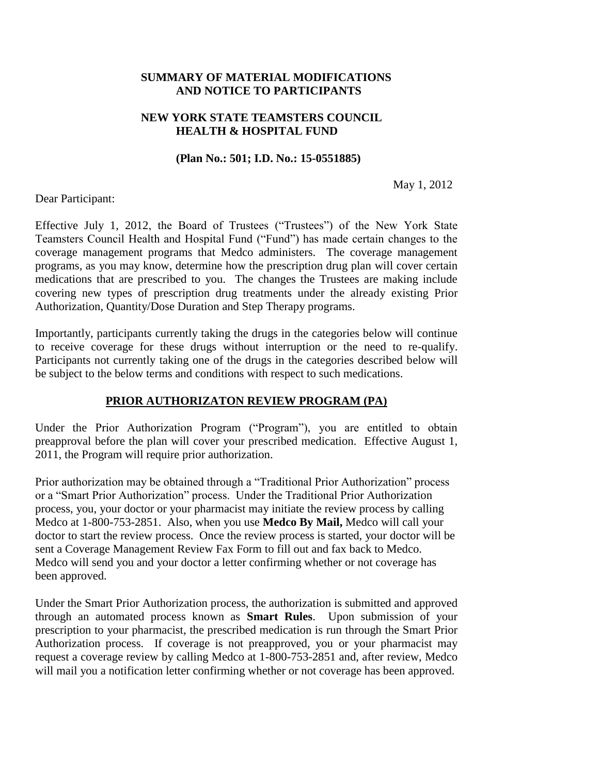## **SUMMARY OF MATERIAL MODIFICATIONS AND NOTICE TO PARTICIPANTS**

## **NEW YORK STATE TEAMSTERS COUNCIL HEALTH & HOSPITAL FUND**

#### **(Plan No.: 501; I.D. No.: 15-0551885)**

May 1, 2012

Dear Participant:

Effective July 1, 2012, the Board of Trustees ("Trustees") of the New York State Teamsters Council Health and Hospital Fund ("Fund") has made certain changes to the coverage management programs that Medco administers. The coverage management programs, as you may know, determine how the prescription drug plan will cover certain medications that are prescribed to you. The changes the Trustees are making include covering new types of prescription drug treatments under the already existing Prior Authorization, Quantity/Dose Duration and Step Therapy programs.

Importantly, participants currently taking the drugs in the categories below will continue to receive coverage for these drugs without interruption or the need to re-qualify. Participants not currently taking one of the drugs in the categories described below will be subject to the below terms and conditions with respect to such medications.

#### **PRIOR AUTHORIZATON REVIEW PROGRAM (PA)**

Under the Prior Authorization Program ("Program"), you are entitled to obtain preapproval before the plan will cover your prescribed medication. Effective August 1, 2011, the Program will require prior authorization.

Prior authorization may be obtained through a "Traditional Prior Authorization" process or a "Smart Prior Authorization" process. Under the Traditional Prior Authorization process, you, your doctor or your pharmacist may initiate the review process by calling Medco at 1-800-753-2851. Also, when you use **Medco By Mail,** Medco will call your doctor to start the review process. Once the review process is started, your doctor will be sent a Coverage Management Review Fax Form to fill out and fax back to Medco. Medco will send you and your doctor a letter confirming whether or not coverage has been approved.

Under the Smart Prior Authorization process, the authorization is submitted and approved through an automated process known as **Smart Rules**. Upon submission of your prescription to your pharmacist, the prescribed medication is run through the Smart Prior Authorization process. If coverage is not preapproved, you or your pharmacist may request a coverage review by calling Medco at 1-800-753-2851 and, after review, Medco will mail you a notification letter confirming whether or not coverage has been approved.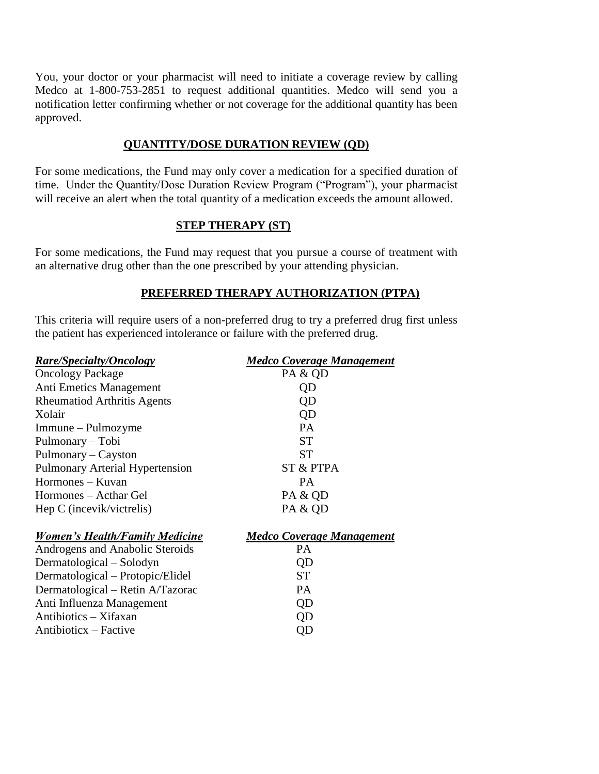You, your doctor or your pharmacist will need to initiate a coverage review by calling Medco at 1-800-753-2851 to request additional quantities. Medco will send you a notification letter confirming whether or not coverage for the additional quantity has been approved.

# **QUANTITY/DOSE DURATION REVIEW (QD)**

For some medications, the Fund may only cover a medication for a specified duration of time. Under the Quantity/Dose Duration Review Program ("Program"), your pharmacist will receive an alert when the total quantity of a medication exceeds the amount allowed.

# **STEP THERAPY (ST)**

For some medications, the Fund may request that you pursue a course of treatment with an alternative drug other than the one prescribed by your attending physician.

# **PREFERRED THERAPY AUTHORIZATION (PTPA)**

This criteria will require users of a non-preferred drug to try a preferred drug first unless the patient has experienced intolerance or failure with the preferred drug.

| <b>Rare/Specialty/Oncology</b>         | <b>Medco Coverage Management</b> |
|----------------------------------------|----------------------------------|
| <b>Oncology Package</b>                | PA & QD                          |
| Anti Emetics Management                | QD                               |
| <b>Rheumatiod Arthritis Agents</b>     | QD                               |
| Xolair                                 | QD                               |
| Immune – Pulmozyme                     | PA                               |
| Pulmonary – Tobi                       | <b>ST</b>                        |
| Pulmonary - Cayston                    | <b>ST</b>                        |
| <b>Pulmonary Arterial Hypertension</b> | ST & PTPA                        |
| Hormones - Kuvan                       | <b>PA</b>                        |
| Hormones – Acthar Gel                  | PA & QD                          |
| Hep C (incevik/victrelis)              | PA & QD                          |
| <b>Women's Health/Family Medicine</b>  | <b>Medco Coverage Management</b> |
| Androgens and Anabolic Steroids        | PA                               |
| Dermatological – Solodyn               | QD                               |
| Dermatological - Protopic/Elidel       | <b>ST</b>                        |
| Dermatological – Retin A/Tazorac       | PA.                              |
| Anti Influenza Management              | QD                               |
| Antibiotics – Xifaxan                  | QD                               |
| Antibioticx – Factive                  | QD                               |